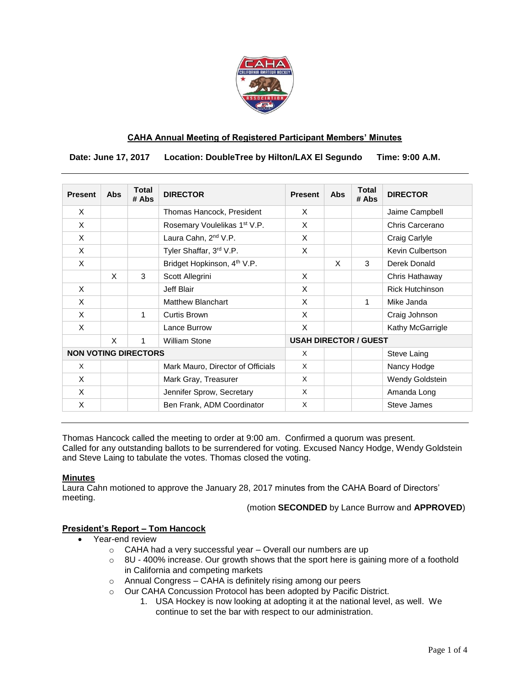

## **CAHA Annual Meeting of Registered Participant Members' Minutes**

 **Date: June 17, 2017 Location: DoubleTree by Hilton/LAX El Segundo Time: 9:00 A.M.**

| <b>Present</b>              | <b>Abs</b>                | <b>Total</b><br># Abs | <b>DIRECTOR</b>                          | <b>Present</b>               | Abs | <b>Total</b><br># Abs | <b>DIRECTOR</b>        |
|-----------------------------|---------------------------|-----------------------|------------------------------------------|------------------------------|-----|-----------------------|------------------------|
| X                           |                           |                       | Thomas Hancock, President                | X                            |     |                       | Jaime Campbell         |
| X                           |                           |                       | Rosemary Voulelikas 1 <sup>st</sup> V.P. | X                            |     |                       | Chris Carcerano        |
| X                           |                           |                       | Laura Cahn, 2 <sup>nd</sup> V.P.         | X                            |     |                       | Craig Carlyle          |
| X                           |                           |                       | Tyler Shaffar, 3rd V.P.                  | X                            |     |                       | Kevin Culbertson       |
| X                           |                           |                       | Bridget Hopkinson, 4 <sup>th</sup> V.P.  |                              | X   | 3                     | Derek Donald           |
|                             | $\boldsymbol{\mathsf{x}}$ | 3                     | Scott Allegrini                          | X                            |     |                       | Chris Hathaway         |
| X                           |                           |                       | Jeff Blair                               | X                            |     |                       | <b>Rick Hutchinson</b> |
| X                           |                           |                       | <b>Matthew Blanchart</b>                 | X                            |     | 1                     | Mike Janda             |
| X                           |                           | $\mathbf{1}$          | Curtis Brown                             | X                            |     |                       | Craig Johnson          |
| X                           |                           |                       | Lance Burrow                             | X                            |     |                       | Kathy McGarrigle       |
|                             | $\times$                  | $\mathbf{1}$          | William Stone                            | <b>USAH DIRECTOR / GUEST</b> |     |                       |                        |
| <b>NON VOTING DIRECTORS</b> |                           |                       |                                          | X                            |     |                       | Steve Laing            |
| $\times$                    |                           |                       | Mark Mauro, Director of Officials        | X                            |     |                       | Nancy Hodge            |
| X                           |                           |                       | Mark Gray, Treasurer                     | X                            |     |                       | Wendy Goldstein        |
| X                           |                           |                       | Jennifer Sprow, Secretary                | X                            |     |                       | Amanda Long            |
| X                           |                           |                       | Ben Frank, ADM Coordinator               | X                            |     |                       | <b>Steve James</b>     |

Thomas Hancock called the meeting to order at 9:00 am. Confirmed a quorum was present. Called for any outstanding ballots to be surrendered for voting. Excused Nancy Hodge, Wendy Goldstein and Steve Laing to tabulate the votes. Thomas closed the voting.

#### **Minutes**

Laura Cahn motioned to approve the January 28, 2017 minutes from the CAHA Board of Directors' meeting.

(motion **SECONDED** by Lance Burrow and **APPROVED**)

# **President's Report – Tom Hancock**

- Year-end review
	- o CAHA had a very successful year Overall our numbers are up
	- $\circ$  8U 400% increase. Our growth shows that the sport here is gaining more of a foothold in California and competing markets
	- o Annual Congress CAHA is definitely rising among our peers
	- o Our CAHA Concussion Protocol has been adopted by Pacific District.
		- 1. USA Hockey is now looking at adopting it at the national level, as well. We continue to set the bar with respect to our administration.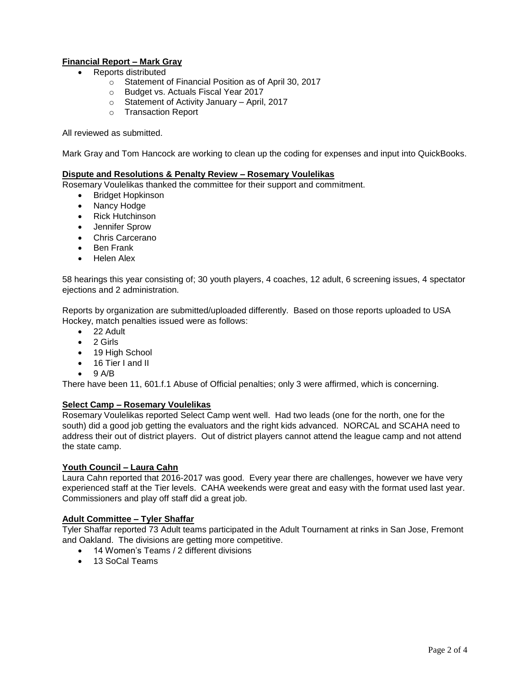# **Financial Report – Mark Gray**

- Reports distributed
	- o Statement of Financial Position as of April 30, 2017
	- o Budget vs. Actuals Fiscal Year 2017
	- o Statement of Activity January April, 2017
	- o Transaction Report

All reviewed as submitted.

Mark Gray and Tom Hancock are working to clean up the coding for expenses and input into QuickBooks.

#### **Dispute and Resolutions & Penalty Review – Rosemary Voulelikas**

Rosemary Voulelikas thanked the committee for their support and commitment.

- Bridget Hopkinson
- Nancy Hodge
- Rick Hutchinson
- Jennifer Sprow
- Chris Carcerano
- Ben Frank
- Helen Alex

58 hearings this year consisting of; 30 youth players, 4 coaches, 12 adult, 6 screening issues, 4 spectator ejections and 2 administration.

Reports by organization are submitted/uploaded differently. Based on those reports uploaded to USA Hockey, match penalties issued were as follows:

- 22 Adult
- $\bullet$  2 Girls
- 19 High School
- 16 Tier I and II
- $\bullet$  9 A/B

There have been 11, 601.f.1 Abuse of Official penalties; only 3 were affirmed, which is concerning.

#### **Select Camp – Rosemary Voulelikas**

Rosemary Voulelikas reported Select Camp went well. Had two leads (one for the north, one for the south) did a good job getting the evaluators and the right kids advanced. NORCAL and SCAHA need to address their out of district players. Out of district players cannot attend the league camp and not attend the state camp.

## **Youth Council – Laura Cahn**

Laura Cahn reported that 2016-2017 was good. Every year there are challenges, however we have very experienced staff at the Tier levels. CAHA weekends were great and easy with the format used last year. Commissioners and play off staff did a great job.

## **Adult Committee – Tyler Shaffar**

Tyler Shaffar reported 73 Adult teams participated in the Adult Tournament at rinks in San Jose, Fremont and Oakland. The divisions are getting more competitive.

- 14 Women's Teams / 2 different divisions
- $\bullet$  13 SoCal Teams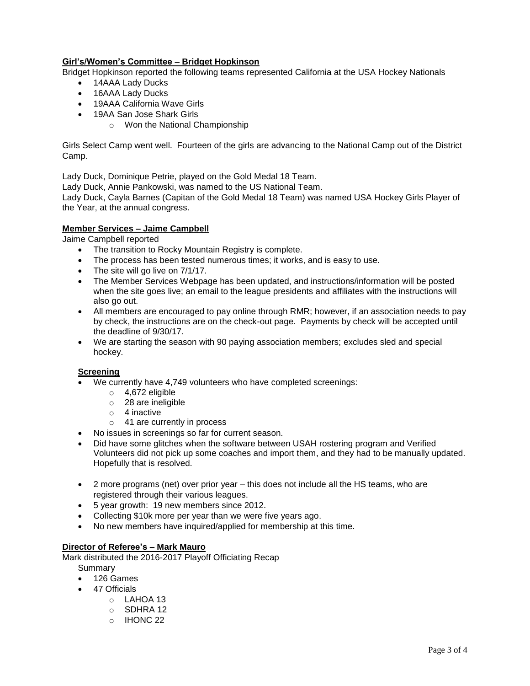# **Girl's/Women's Committee – Bridget Hopkinson**

Bridget Hopkinson reported the following teams represented California at the USA Hockey Nationals

- 14AAA Lady Ducks
- 16AAA Lady Ducks
- 19AAA California Wave Girls
- 19AA San Jose Shark Girls
	- o Won the National Championship

Girls Select Camp went well. Fourteen of the girls are advancing to the National Camp out of the District Camp.

Lady Duck, Dominique Petrie, played on the Gold Medal 18 Team.

Lady Duck, Annie Pankowski, was named to the US National Team.

Lady Duck, Cayla Barnes (Capitan of the Gold Medal 18 Team) was named USA Hockey Girls Player of the Year, at the annual congress.

## **Member Services – Jaime Campbell**

Jaime Campbell reported

- The transition to Rocky Mountain Registry is complete.
- The process has been tested numerous times; it works, and is easy to use.
- The site will go live on 7/1/17.
- The Member Services Webpage has been updated, and instructions/information will be posted when the site goes live; an email to the league presidents and affiliates with the instructions will also go out.
- All members are encouraged to pay online through RMR; however, if an association needs to pay by check, the instructions are on the check-out page. Payments by check will be accepted until the deadline of 9/30/17.
- We are starting the season with 90 paying association members; excludes sled and special hockey.

#### **Screening**

- We currently have 4,749 volunteers who have completed screenings:
	- o 4,672 eligible
	- $\circ$  28 are ineligible
	- o 4 inactive
	- o 41 are currently in process
- No issues in screenings so far for current season.
- Did have some glitches when the software between USAH rostering program and Verified Volunteers did not pick up some coaches and import them, and they had to be manually updated. Hopefully that is resolved.
- 2 more programs (net) over prior year this does not include all the HS teams, who are registered through their various leagues.
- 5 year growth: 19 new members since 2012.
- Collecting \$10k more per year than we were five years ago.
- No new members have inquired/applied for membership at this time.

# **Director of Referee's – Mark Mauro**

Mark distributed the 2016-2017 Playoff Officiating Recap

- **Summary**
- 126 Games
- 47 Officials
	- o LAHOA 13
	- o SDHRA 12
	- o IHONC 22